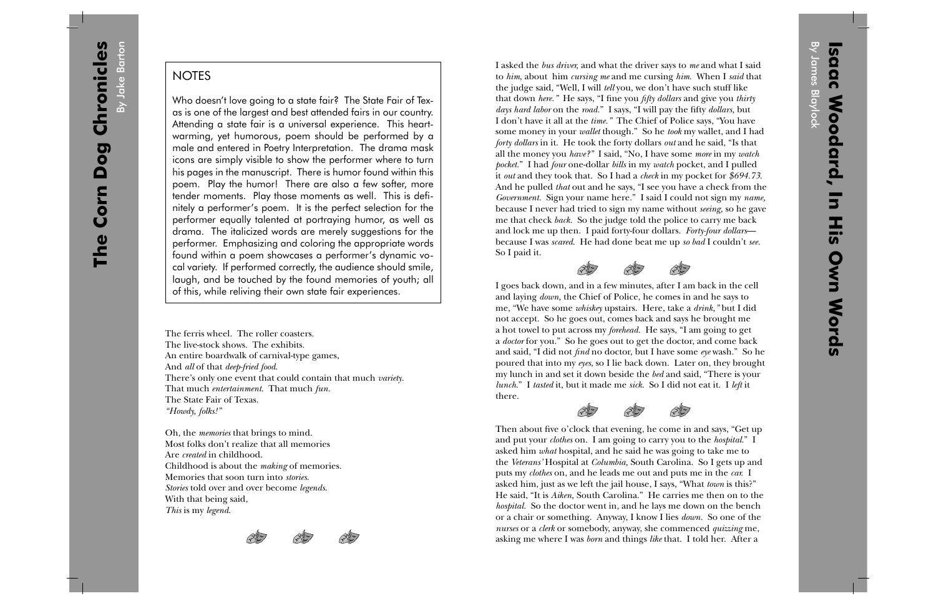By Jake Barton

**NOTES** 

Who doesn't love going to a state fair? The State Fair of Texas is one of the largest and best attended fairs in our country. Attending a state fair is a universal experience. This heartwarming, yet humorous, poem should be performed by a male and entered in Poetry Interpretation. The drama mask icons are simply visible to show the performer where to turn his pages in the manuscript. There is humor found within this poem. Play the humor! There are also a few softer, more tender moments. Play those moments as well. This is definitely a performer's poem. It is the perfect selection for the performer equally talented at portraying humor, as well as drama. The italicized words are merely suggestions for the performer. Emphasizing and coloring the appropriate words found within a poem showcases a performer's dynamic vocal variety. If performed correctly, the audience should smile, laugh, and be touched by the found memories of youth; all of this, while reliving their own state fair experiences.

The ferris wheel. The roller coasters. The live-stock shows. The exhibits. An entire boardwalk of carnival-type games, And *all* of that *deep-fried food*. There's only one event that could contain that much *variety*. That much *entertainment*. That much *fun.* The State Fair of Texas. *"Howdy, folks!"* 

Oh, the *memories* that brings to mind. Most folks don't realize that all memories Are *created* in childhood. Childhood is about the *making* of memories. Memories that soon turn into *stories*. *Stories* told over and over become *legends*. With that being said, *This* is my *legend*.